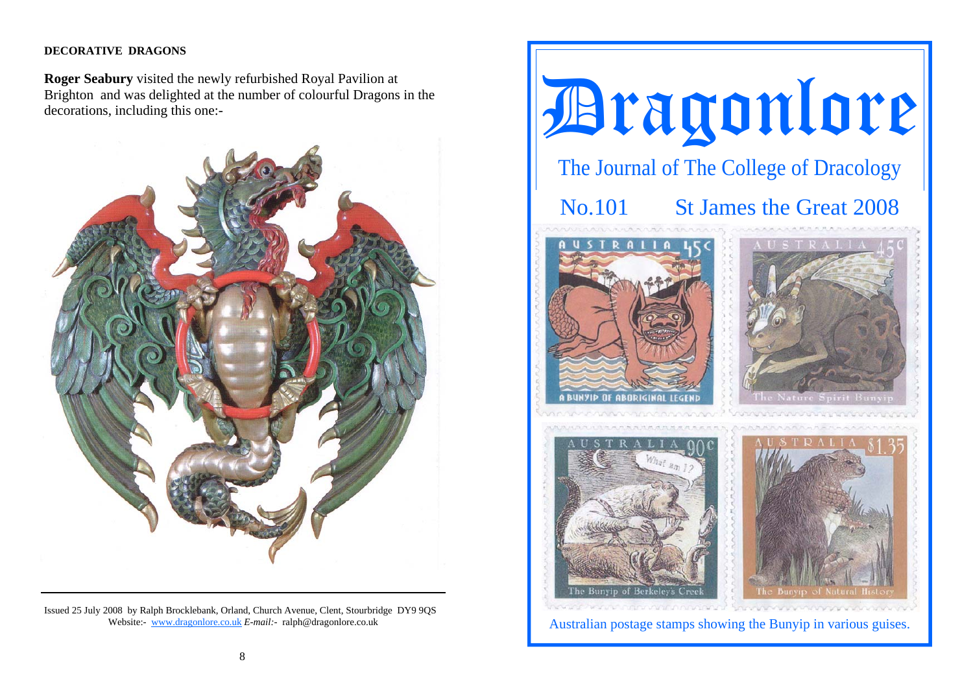# **DECORATIVE DRAGONS**

**Roger Seabury** visited the newly refurbished Royal Pavilion at Brighton and was delighted at the number of colourful Dragons in the decorations, including this one:-



Issued 25 July 2008 by Ralph Brocklebank, Orland, Church Avenue, Clent, Stourbridge DY9 9QS Website:- www.dragonlore.co.uk *E-mail:-* ralph@dragonlore.co.uk

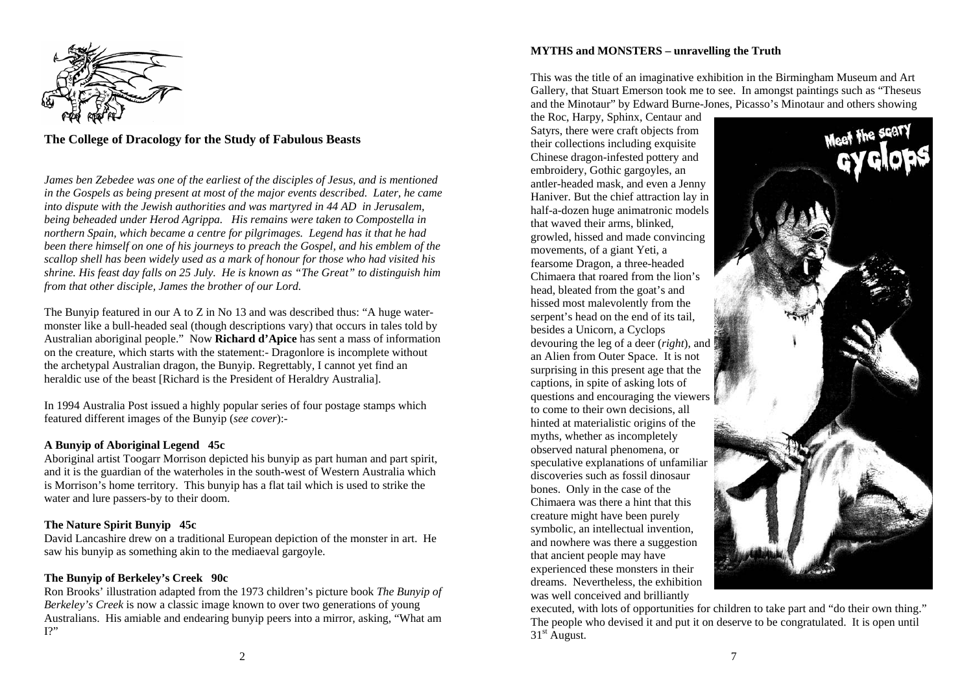

# **The College of Dracology for the Study of Fabulous Beasts**

*James ben Zebedee was one of the earliest of the disciples of Jesus, and is mentioned in the Gospels as being present at most of the major events described. Later, he came into dispute with the Jewish authorities and was martyred in 44 AD in Jerusalem, being beheaded under Herod Agrippa. His remains were taken to Compostella in northern Spain, which became a centre for pilgrimages. Legend has it that he had been there himself on one of his journeys to preach the Gospel, and his emblem of the scallop shell has been widely used as a mark of honour for those who had visited his shrine. His feast day falls on 25 July. He is known as "The Great" to distinguish him from that other disciple, James the brother of our Lord.* 

The Bunyip featured in our A to Z in No 13 and was described thus: "A huge watermonster like a bull-headed seal (though descriptions vary) that occurs in tales told by Australian aboriginal people." Now **Richard d'Apice** has sent a mass of information on the creature, which starts with the statement:- Dragonlore is incomplete without the archetypal Australian dragon, the Bunyip. Regrettably, I cannot yet find an heraldic use of the beast [Richard is the President of Heraldry Australia].

In 1994 Australia Post issued a highly popular series of four postage stamps which featured different images of the Bunyip (*see cover*):-

## **A Bunyip of Aboriginal Legend 45c**

Aboriginal artist Toogarr Morrison depicted his bunyip as part human and part spirit, and it is the guardian of the waterholes in the south-west of Western Australia which is Morrison's home territory. This bunyip has a flat tail which is used to strike the water and lure passers-by to their doom.

## **The Nature Spirit Bunyip 45c**

David Lancashire drew on a traditional European depiction of the monster in art. He saw his bunyip as something akin to the mediaeval gargoyle.

## **The Bunyip of Berkeley's Creek 90c**

Ron Brooks' illustration adapted from the 1973 children's picture book *The Bunyip of Berkeley's Creek* is now a classic image known to over two generations of young Australians. His amiable and endearing bunyip peers into a mirror, asking, "What am  $I$ ?"

### **MYTHS and MONSTERS – unravelling the Truth**

This was the title of an imaginative exhibition in the Birmingham Museum and Art Gallery, that Stuart Emerson took me to see. In amongst paintings such as "Theseus and the Minotaur" by Edward Burne-Jones, Picasso's Minotaur and others showing

the Roc, Harpy, Sphinx, Centaur and Satyrs, there were craft objects from their collections including exquisite Chinese dragon-infested pottery and embroidery, Gothic gargoyles, an antler-headed mask, and even a Jenny Haniver. But the chief attraction lay in half-a-dozen huge animatronic models that waved their arms, blinked, growled, hissed and made convincing movements, of a giant Yeti, a fearsome Dragon, a three-headed Chimaera that roared from the lion's head, bleated from the goat's and hissed most malevolently from the serpent's head on the end of its tail, besides a Unicorn, a Cyclops devouring the leg of a deer (*right*), and an Alien from Outer Space. It is not surprising in this present age that the captions, in spite of asking lots of questions and encouraging the viewers to come to their own decisions, all hinted at materialistic origins of the myths, whether as incompletely observed natural phenomena, or speculative explanations of unfamiliar discoveries such as fossil dinosaur bones. Only in the case of the Chimaera was there a hint that this creature might have been purely symbolic, an intellectual invention, and nowhere was there a suggestion that ancient people may have experienced these monsters in their dreams. Nevertheless, the exhibition was well conceived and brilliantly



executed, with lots of opportunities for children to take part and "do their own thing." The people who devised it and put it on deserve to be congratulated. It is open until 31<sup>st</sup> August.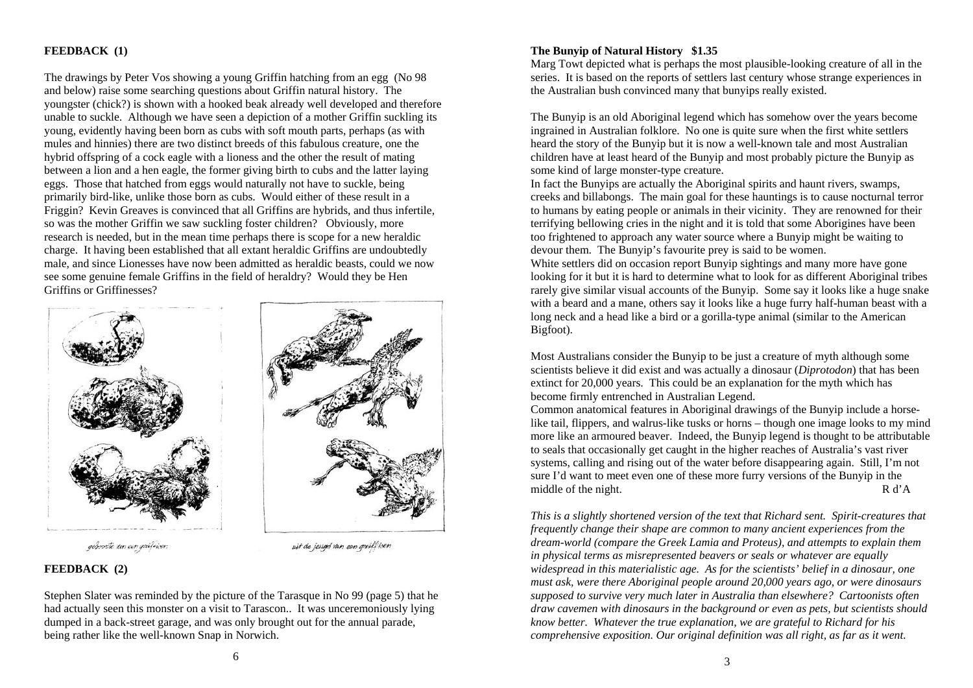## **FEEDBACK (1)**

The drawings by Peter Vos showing a young Griffin hatching from an egg (No 98 and below) raise some searching questions about Griffin natural history. The youngster (chick?) is shown with a hooked beak already well developed and therefore unable to suckle. Although we have seen a depiction of a mother Griffin suckling its young, evidently having been born as cubs with soft mouth parts, perhaps (as with mules and hinnies) there are two distinct breeds of this fabulous creature, one the hybrid offspring of a cock eagle with a lioness and the other the result of mating between a lion and a hen eagle, the former giving birth to cubs and the latter laying eggs. Those that hatched from eggs would naturally not have to suckle, being primarily bird-like, unlike those born as cubs. Would either of these result in a Friggin? Kevin Greaves is convinced that all Griffins are hybrids, and thus infertile, so was the mother Griffin we saw suckling foster children? Obviously, more research is needed, but in the mean time perhaps there is scope for a new heraldic charge. It having been established that all extant heraldic Griffins are undoubtedly male, and since Lionesses have now been admitted as heraldic beasts, could we now see some genuine female Griffins in the field of heraldry? Would they be Hen Griffins or Griffinesses?



geboorte un con grilliver.

uit de jeugd van een griff joen

## **FEEDBACK (2)**

Stephen Slater was reminded by the picture of the Tarasque in No 99 (page 5) that he had actually seen this monster on a visit to Tarascon.. It was unceremoniously lying dumped in a back-street garage, and was only brought out for the annual parade, being rather like the well-known Snap in Norwich.

## **The Bunyip of Natural History \$1.35**

Marg Towt depicted what is perhaps the most plausible-looking creature of all in the series. It is based on the reports of settlers last century whose strange experiences in the Australian bush convinced many that bunyips really existed.

The Bunyip is an old Aboriginal legend which has somehow over the years become ingrained in Australian folklore. No one is quite sure when the first white settlers heard the story of the Bunyip but it is now a well-known tale and most Australian children have at least heard of the Bunyip and most probably picture the Bunyip as some kind of large monster-type creature.

In fact the Bunyips are actually the Aboriginal spirits and haunt rivers, swamps, creeks and billabongs. The main goal for these hauntings is to cause nocturnal terror to humans by eating people or animals in their vicinity. They are renowned for their terrifying bellowing cries in the night and it is told that some Aborigines have been too frightened to approach any water source where a Bunyip might be waiting to devour them. The Bunyip's favourite prey is said to be women.

White settlers did on occasion report Bunyip sightings and many more have gone looking for it but it is hard to determine what to look for as different Aboriginal tribes rarely give similar visual accounts of the Bunyip. Some say it looks like a huge snake with a beard and a mane, others say it looks like a huge furry half-human beast with a long neck and a head like a bird or a gorilla-type animal (similar to the American Bigfoot).

Most Australians consider the Bunyip to be just a creature of myth although some scientists believe it did exist and was actually a dinosaur (*Diprotodon*) that has been extinct for 20,000 years. This could be an explanation for the myth which has become firmly entrenched in Australian Legend.

Common anatomical features in Aboriginal drawings of the Bunyip include a horselike tail, flippers, and walrus-like tusks or horns – though one image looks to my mind more like an armoured beaver. Indeed, the Bunyip legend is thought to be attributable to seals that occasionally get caught in the higher reaches of Australia's vast river systems, calling and rising out of the water before disappearing again. Still, I'm not sure I'd want to meet even one of these more furry versions of the Bunyip in the middle of the night. R d'A

*This is a slightly shortened version of the text that Richard sent. Spirit-creatures that frequently change their shape are common to many ancient experiences from the dream-world (compare the Greek Lamia and Proteus), and attempts to explain them in physical terms as misrepresented beavers or seals or whatever are equally widespread in this materialistic age. As for the scientists' belief in a dinosaur, one must ask, were there Aboriginal people around 20,000 years ago, or were dinosaurs supposed to survive very much later in Australia than elsewhere? Cartoonists often draw cavemen with dinosaurs in the background or even as pets, but scientists should know better. Whatever the true explanation, we are grateful to Richard for his comprehensive exposition. Our original definition was all right, as far as it went.*